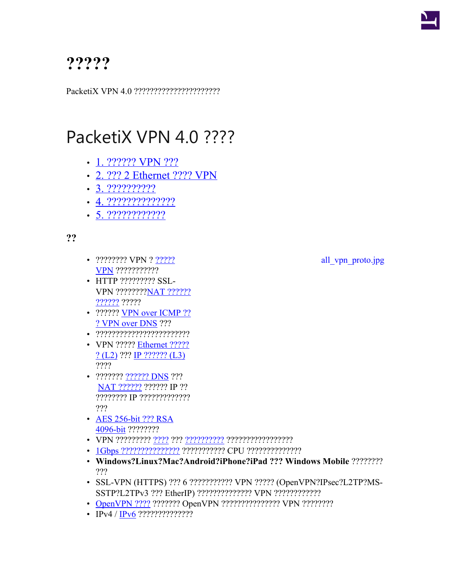

## **?????**

PacketiX VPN 4.0 ??????????????????????

## PacketiX VPN 4.0 ????

- [1. ?????? VPN ???](https://www.softether.jp/1-product/11-vpn/15-whitepaper/1)
- [2. ??? 2 Ethernet ???? VPN](https://www.softether.jp/1-product/11-vpn/15-whitepaper/2)
- [3. ??????????](https://www.softether.jp/1-product/11-vpn/15-whitepaper/3)?
- [4. ??????????????](https://www.softether.jp/1-product/11-vpn/15-whitepaper/4)?
- [5. ????????????](https://www.softether.jp/1-product/11-vpn/15-whitepaper/5)?

**??**

- [?????](http://ja.softether.org/4-docs/2-howto/1.VPN_for_On-premise/3.LAN_to_LAN_Bridge_VPN)???? VPN ?  $\frac{27222}{27222}$  all vpn\_proto.jpg **[VPN](http://ja.softether.org/4-docs/2-howto/1.VPN_for_On-premise/3.LAN_to_LAN_Bridge_VPN)** ????????????
- HTTP ????????? SSL-VPN ????????[NAT ??????](https://www.softether.jp/1-product/11-vpn/15-whitepaper/1) [??????](https://www.softether.jp/1-product/11-vpn/15-whitepaper/1) ?????
- ?????? [VPN over ICMP ??](https://www.softether.jp/1-product/11-vpn/15-whitepaper/1) ? [VPN over DNS](https://www.softether.jp/1-product/11-vpn/15-whitepaper/1) ???
- ????????????????????????
- VPN ????? [Ethernet ?????](https://www.softether.jp/1-product/11-vpn/15-whitepaper/2) [? \(L2\)](https://www.softether.jp/1-product/11-vpn/15-whitepaper/2) ??? [IP ?????? \(L3\)](http://ja.softether.org/4-docs/1-manual/A/10.6) ????
- ??????? ?[?????? DNS](https://www.softether.jp/1-product/11-vpn/15-whitepaper/1) ??? [NAT ??????](https://www.softether.jp/1-product/11-vpn/15-whitepaper/1) ?????? IP ?? ???????? IP ????????????? ???
- [AES 256-bit ??? RSA](https://www.softether.jp/1-product/11-vpn/15-whitepaper/3) [4096-bit](https://www.softether.jp/1-product/11-vpn/15-whitepaper/3) ????????
- VPN ????????? [????](http://ja.softether.org/4-docs/1-manual/3/3.5) ??? [??????????](http://ja.softether.org/4-docs/1-manual/3/3.5) ?????????????????
- [1Gbps ???????????????](https://www.softether.jp/@api/deki/files/272/=1.3.jpg) ??????????? CPU ??????????????
- **Windows?Linux?Mac?Android?iPhone?iPad ??? Windows Mobile** ???????? ???
- SSL-VPN (HTTPS) ??? 6 ??????????? VPN ????? (OpenVPN?IPsec?L2TP?MS-SSTP?L2TPv3 ??? EtherIP) ?????????????? VPN ????????????
- [OpenVPN ????](https://www.softether.jp/1-product/11-vpn/15-whitepaper/1) ??????? OpenVPN ??????????????? VPN ?????????
- IPv4 / [IPv6](https://www.softether.jp/1-product/11-vpn/15-whitepaper/4) ???????????????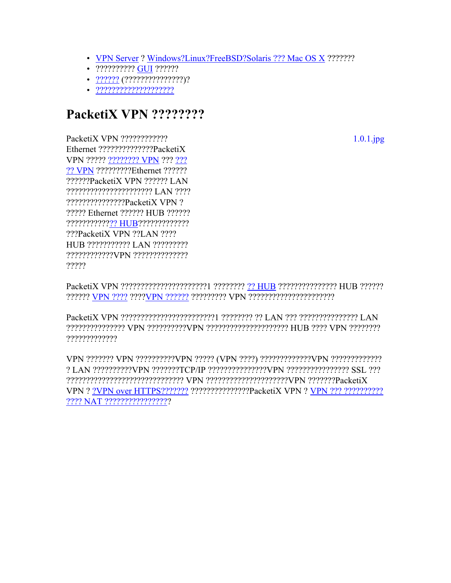- VPN Server ? Windows?Linux?FreeBSD?Solaris ??? Mac OS X ????????
- ?????????? GUI ??????
- 
- $. 22222222222222222222$

## PacketiX VPN ????????

PacketiX VPN ???????????? Ethernet ???????????????PacketiX VPN ????? ???????? VPN ??? ??? ?? VPN ??????????Ethernet ?????? ??????PacketiX VPN ?????? LAN ?????????????????????? LAN ???? ???????????????PacketiX VPN ? ????? Ethernet ?????? HUB ?????? ????????????? HUB????????????? ???PacketiX VPN ??LAN ???? HUB ??????????? LAN ?????????  $2222$ 

?????????????

? LAN ??????????VPN ???????TCP/IP ??????????????VPN ???????????????? SSL ??? VPN ? ?VPN over HTTPS??????? ????????????????PacketiX VPN ? VPN ??? ??????????? 

 $1.0.1$ .jpg